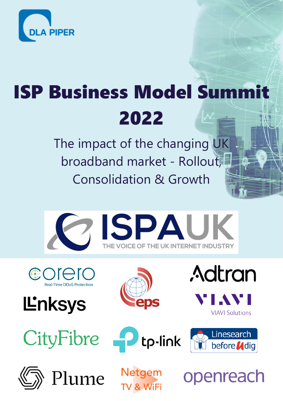

## ISP Business Model Summit 2022

The impact of the changing UK broadband market - Rollout, Consolidation & Growth



COLEIC











**VIAVI Solutions** 

**Adtran** 



Plume

openreach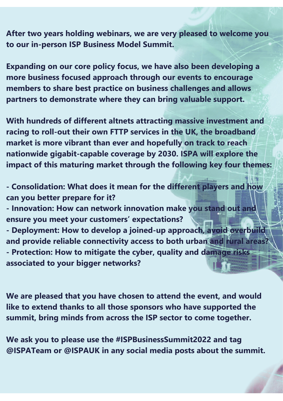**After two years holding webinars, we are very pleased to welcome you to our in-person ISP Business Model Summit.**

**Expanding on our core policy focus, we have also been developing a more business focused approach through our events to encourage members to share best practice on business challenges and allows partners to demonstrate where they can bring valuable support.**

**With hundreds of different altnets attracting massive investment and racing to roll-out their own FTTP services in the UK, the broadband market is more vibrant than ever and hopefully on track to reach nationwide gigabit-capable coverage by 2030. ISPA will explore the impact of this maturing market through the following key four themes:**

**- Consolidation: What does it mean for the different players and how can you better prepare for it?** 

**- Innovation: How can network innovation make you stand out and ensure you meet your customers' expectations?**

**- Deployment: How to develop a joined-up approach, avoid overbuild and provide reliable connectivity access to both urban and rural areas? - Protection: How to mitigate the cyber, quality and damage risks associated to your bigger networks?**

**We are pleased that you have chosen to attend the event, and would like to extend thanks to all those sponsors who have supported the summit, bring minds from across the ISP sector to come together.**

**We ask you to please use the #ISPBusinessSummit2022 and tag @ISPATeam or @ISPAUK in any social media posts about the summit.**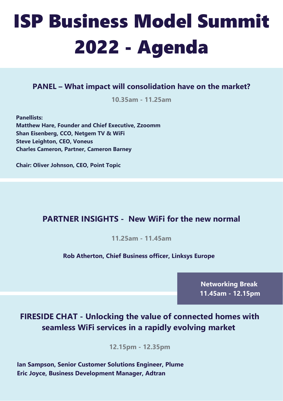# ISP Business Model Summit 2022 - Agenda

#### **PANEL – What impact will consolidation have on the market?**

**10.35am - 11.25am**

**Panellists: Matthew Hare, Founder and Chief Executive, Zzoomm Shan Eisenberg, CCO, Netgem TV & WiFi Steve Leighton, CEO, Voneus Charles Cameron, Partner, Cameron Barney**

**Chair: Oliver Johnson, CEO, Point Topic**

#### **PARTNER INSIGHTS - New WiFi for the new normal**

**11.25am - 11.45am**

#### **Rob Atherton, Chief Business officer, Linksys Europe**

**Networking Break 11.45am - 12.15pm**

### **FIRESIDE CHAT - Unlocking the value of connected homes with seamless WiFi services in a rapidly evolving market**

**12.15pm - 12.35pm**

**Ian Sampson, Senior Customer Solutions Engineer, Plume Eric Joyce, Business Development Manager, Adtran**